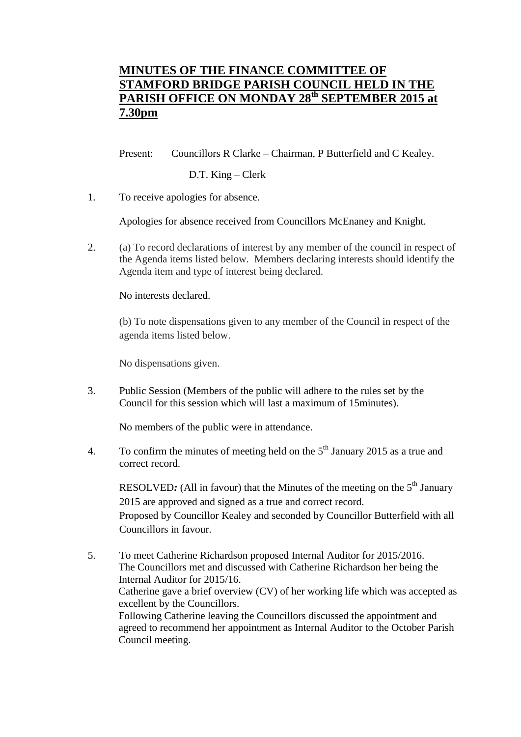## **MINUTES OF THE FINANCE COMMITTEE OF STAMFORD BRIDGE PARISH COUNCIL HELD IN THE PARISH OFFICE ON MONDAY 28th SEPTEMBER 2015 at 7.30pm**

Present: Councillors R Clarke – Chairman, P Butterfield and C Kealey.

D.T. King – Clerk

1. To receive apologies for absence.

Apologies for absence received from Councillors McEnaney and Knight.

2. (a) To record declarations of interest by any member of the council in respect of the Agenda items listed below. Members declaring interests should identify the Agenda item and type of interest being declared.

No interests declared.

(b) To note dispensations given to any member of the Council in respect of the agenda items listed below.

No dispensations given.

3. Public Session (Members of the public will adhere to the rules set by the Council for this session which will last a maximum of 15minutes).

No members of the public were in attendance.

4. To confirm the minutes of meeting held on the  $5<sup>th</sup>$  January 2015 as a true and correct record.

RESOLVED: (All in favour) that the Minutes of the meeting on the 5<sup>th</sup> January 2015 are approved and signed as a true and correct record. Proposed by Councillor Kealey and seconded by Councillor Butterfield with all Councillors in favour.

5. To meet Catherine Richardson proposed Internal Auditor for 2015/2016. The Councillors met and discussed with Catherine Richardson her being the Internal Auditor for 2015/16. Catherine gave a brief overview (CV) of her working life which was accepted as excellent by the Councillors. Following Catherine leaving the Councillors discussed the appointment and agreed to recommend her appointment as Internal Auditor to the October Parish Council meeting.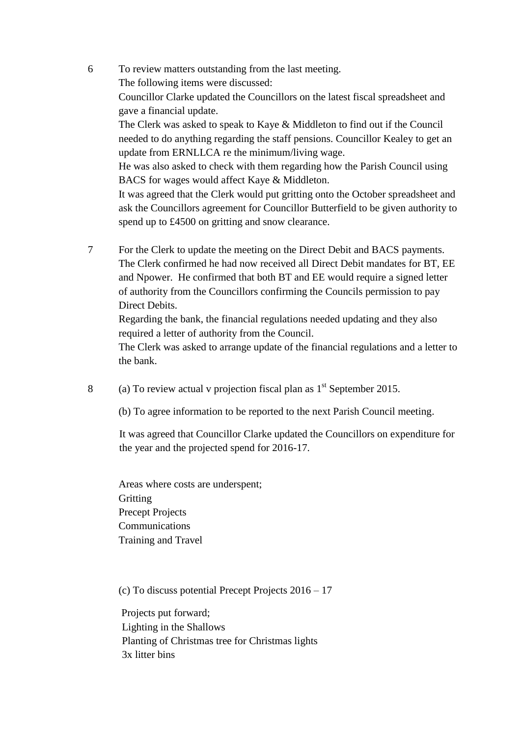- 6 To review matters outstanding from the last meeting. The following items were discussed: Councillor Clarke updated the Councillors on the latest fiscal spreadsheet and gave a financial update. The Clerk was asked to speak to Kaye & Middleton to find out if the Council needed to do anything regarding the staff pensions. Councillor Kealey to get an update from ERNLLCA re the minimum/living wage. He was also asked to check with them regarding how the Parish Council using BACS for wages would affect Kaye & Middleton. It was agreed that the Clerk would put gritting onto the October spreadsheet and ask the Councillors agreement for Councillor Butterfield to be given authority to spend up to £4500 on gritting and snow clearance.
- 7 For the Clerk to update the meeting on the Direct Debit and BACS payments. The Clerk confirmed he had now received all Direct Debit mandates for BT, EE and Npower. He confirmed that both BT and EE would require a signed letter of authority from the Councillors confirming the Councils permission to pay Direct Debits.

Regarding the bank, the financial regulations needed updating and they also required a letter of authority from the Council.

The Clerk was asked to arrange update of the financial regulations and a letter to the bank.

8 (a) To review actual v projection fiscal plan as  $1<sup>st</sup>$  September 2015.

(b) To agree information to be reported to the next Parish Council meeting.

It was agreed that Councillor Clarke updated the Councillors on expenditure for the year and the projected spend for 2016-17.

Areas where costs are underspent; **Gritting** Precept Projects Communications Training and Travel

(c) To discuss potential Precept Projects 2016 – 17

 Projects put forward; Lighting in the Shallows Planting of Christmas tree for Christmas lights 3x litter bins